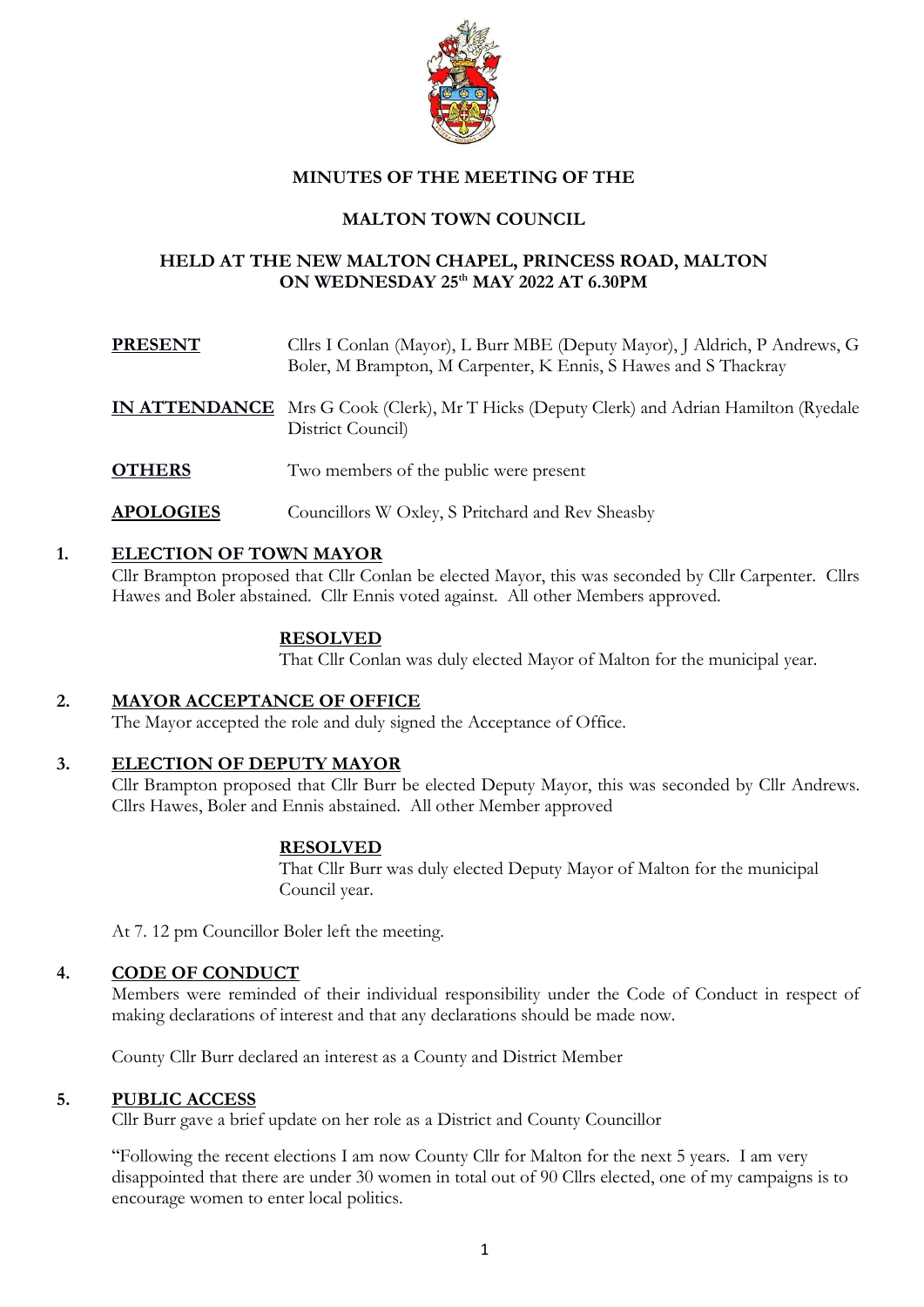

# MINUTES OF THE MEETING OF THE

# MALTON TOWN COUNCIL

# HELD AT THE NEW MALTON CHAPEL, PRINCESS ROAD, MALTON ON WEDNESDAY 25<sup>th</sup> MAY 2022 AT 6.30PM

| <b>PRESENT</b>   | Cllrs I Conlan (Mayor), L Burr MBE (Deputy Mayor), J Aldrich, P Andrews, G<br>Boler, M Brampton, M Carpenter, K Ennis, S Hawes and S Thackray |
|------------------|-----------------------------------------------------------------------------------------------------------------------------------------------|
|                  | <b>IN ATTENDANCE</b> Mrs G Cook (Clerk), Mr T Hicks (Deputy Clerk) and Adrian Hamilton (Ryedale<br>District Council)                          |
| <b>OTHERS</b>    | Two members of the public were present                                                                                                        |
| <b>APOLOGIES</b> | Councillors W Oxley, S Pritchard and Rev Sheasby                                                                                              |

## 1. ELECTION OF TOWN MAYOR

Cllr Brampton proposed that Cllr Conlan be elected Mayor, this was seconded by Cllr Carpenter. Cllrs Hawes and Boler abstained. Cllr Ennis voted against. All other Members approved.

## RESOLVED

That Cllr Conlan was duly elected Mayor of Malton for the municipal year.

# 2. MAYOR ACCEPTANCE OF OFFICE The Mayor accepted the role and duly signed the Acceptance of Office.

## 3. ELECTION OF DEPUTY MAYOR

Cllr Brampton proposed that Cllr Burr be elected Deputy Mayor, this was seconded by Cllr Andrews. Cllrs Hawes, Boler and Ennis abstained. All other Member approved

#### RESOLVED

 That Cllr Burr was duly elected Deputy Mayor of Malton for the municipal Council year.

At 7. 12 pm Councillor Boler left the meeting.

## 4. CODE OF CONDUCT

 Members were reminded of their individual responsibility under the Code of Conduct in respect of making declarations of interest and that any declarations should be made now.

County Cllr Burr declared an interest as a County and District Member

## 5. PUBLIC ACCESS

Cllr Burr gave a brief update on her role as a District and County Councillor

"Following the recent elections I am now County Cllr for Malton for the next 5 years. I am very disappointed that there are under 30 women in total out of 90 Cllrs elected, one of my campaigns is to encourage women to enter local politics.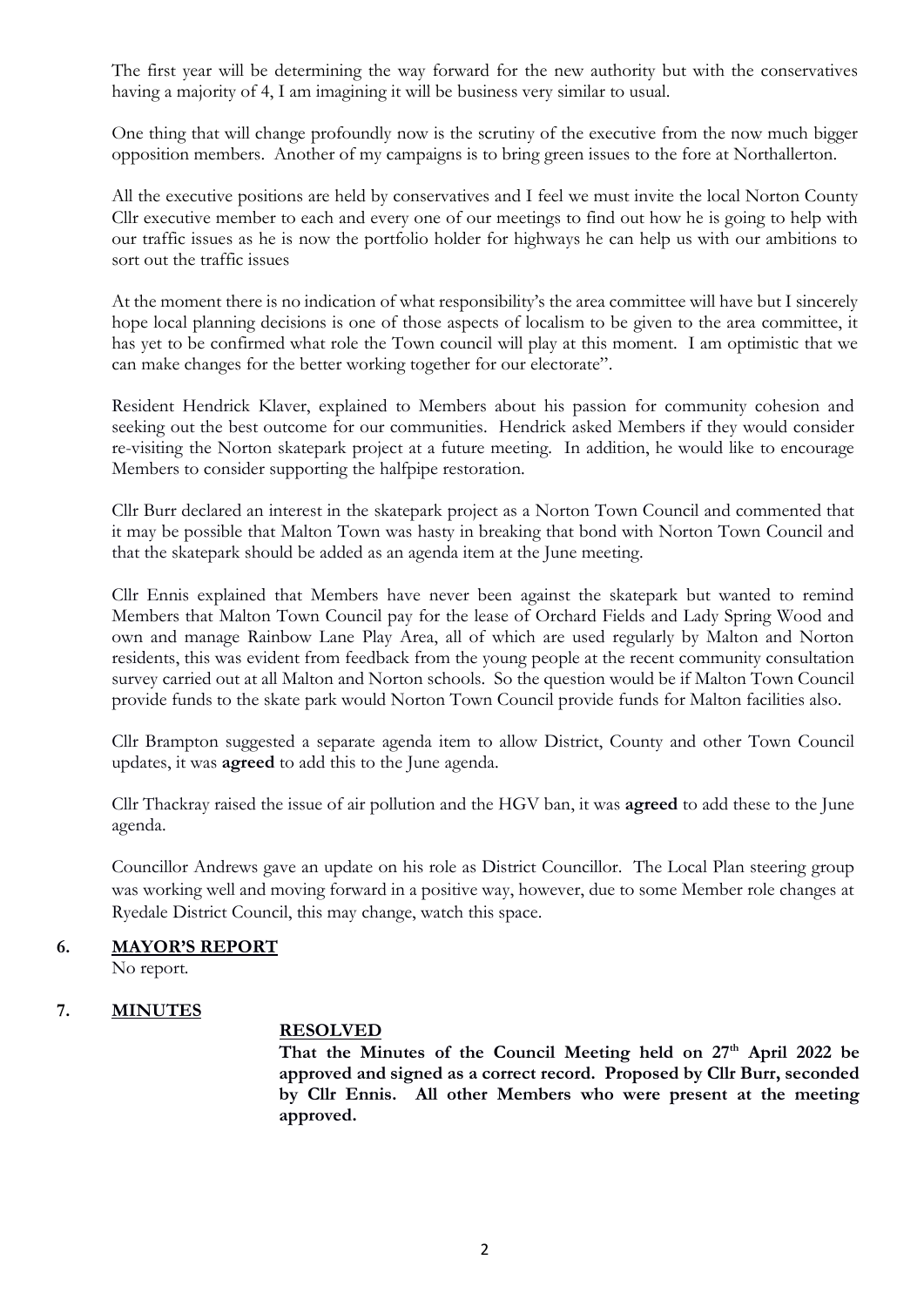The first year will be determining the way forward for the new authority but with the conservatives having a majority of 4, I am imagining it will be business very similar to usual.

One thing that will change profoundly now is the scrutiny of the executive from the now much bigger opposition members. Another of my campaigns is to bring green issues to the fore at Northallerton.

All the executive positions are held by conservatives and I feel we must invite the local Norton County Cllr executive member to each and every one of our meetings to find out how he is going to help with our traffic issues as he is now the portfolio holder for highways he can help us with our ambitions to sort out the traffic issues

At the moment there is no indication of what responsibility's the area committee will have but I sincerely hope local planning decisions is one of those aspects of localism to be given to the area committee, it has yet to be confirmed what role the Town council will play at this moment. I am optimistic that we can make changes for the better working together for our electorate".

Resident Hendrick Klaver, explained to Members about his passion for community cohesion and seeking out the best outcome for our communities. Hendrick asked Members if they would consider re-visiting the Norton skatepark project at a future meeting. In addition, he would like to encourage Members to consider supporting the halfpipe restoration.

Cllr Burr declared an interest in the skatepark project as a Norton Town Council and commented that it may be possible that Malton Town was hasty in breaking that bond with Norton Town Council and that the skatepark should be added as an agenda item at the June meeting.

Cllr Ennis explained that Members have never been against the skatepark but wanted to remind Members that Malton Town Council pay for the lease of Orchard Fields and Lady Spring Wood and own and manage Rainbow Lane Play Area, all of which are used regularly by Malton and Norton residents, this was evident from feedback from the young people at the recent community consultation survey carried out at all Malton and Norton schools. So the question would be if Malton Town Council provide funds to the skate park would Norton Town Council provide funds for Malton facilities also.

Cllr Brampton suggested a separate agenda item to allow District, County and other Town Council updates, it was agreed to add this to the June agenda.

Cllr Thackray raised the issue of air pollution and the HGV ban, it was agreed to add these to the June agenda.

Councillor Andrews gave an update on his role as District Councillor. The Local Plan steering group was working well and moving forward in a positive way, however, due to some Member role changes at Ryedale District Council, this may change, watch this space.

### 6. MAYOR'S REPORT

No report.

## 7. MINUTES

## RESOLVED

That the Minutes of the Council Meeting held on 27<sup>th</sup> April 2022 be approved and signed as a correct record. Proposed by Cllr Burr, seconded by Cllr Ennis. All other Members who were present at the meeting approved.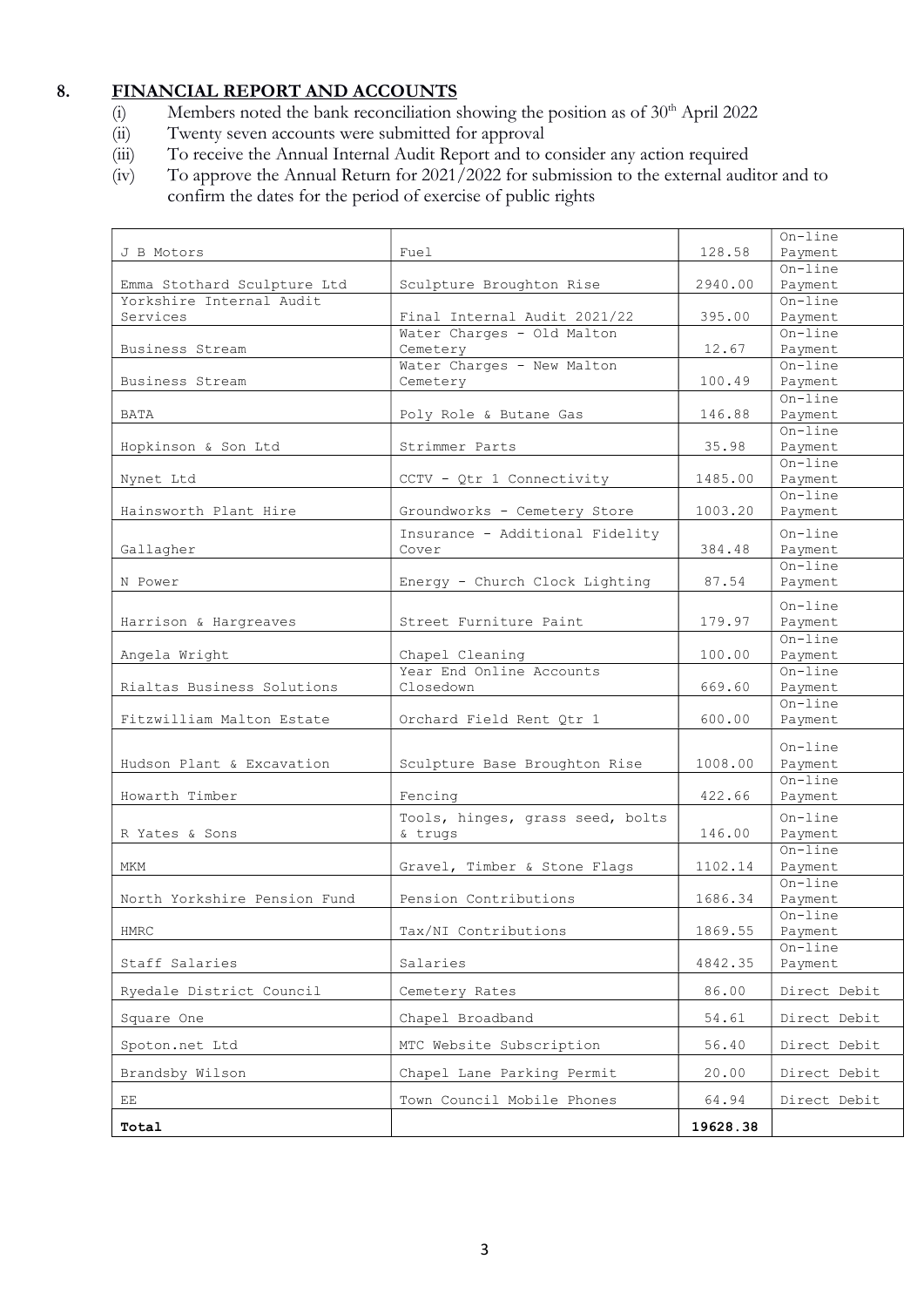# 8. FINANCIAL REPORT AND ACCOUNTS

- (i) Members noted the bank reconciliation showing the position as of  $30<sup>th</sup>$  April 2022 (ii) Twenty seven accounts were submitted for approval
- Twenty seven accounts were submitted for approval
- (iii) To receive the Annual Internal Audit Report and to consider any action required
- (iv) To approve the Annual Return for 2021/2022 for submission to the external auditor and to confirm the dates for the period of exercise of public rights

|                              |                                          |          | On-line            |
|------------------------------|------------------------------------------|----------|--------------------|
| J B Motors                   | Fuel                                     | 128.58   | Payment            |
|                              |                                          |          | On-line            |
| Emma Stothard Sculpture Ltd  | Sculpture Broughton Rise                 | 2940.00  | Payment            |
| Yorkshire Internal Audit     |                                          |          | On-line            |
| Services                     | Final Internal Audit 2021/22             | 395.00   | Payment            |
|                              | Water Charges - Old Malton               |          | On-line            |
| Business Stream              | Cemetery                                 | 12.67    | Payment            |
| Business Stream              | Water Charges - New Malton               | 100.49   | On-line<br>Payment |
|                              | Cemetery                                 |          | On-line            |
| <b>BATA</b>                  | Poly Role & Butane Gas                   | 146.88   | Payment            |
|                              |                                          |          | On-line            |
| Hopkinson & Son Ltd          | Strimmer Parts                           | 35.98    | Payment            |
|                              |                                          |          | On-line            |
| Nynet Ltd                    | CCTV - Qtr 1 Connectivity                | 1485.00  | Payment            |
|                              |                                          |          | On-line            |
| Hainsworth Plant Hire        | Groundworks - Cemetery Store             | 1003.20  | Payment            |
|                              |                                          |          |                    |
|                              | Insurance - Additional Fidelity<br>Cover |          | On-line            |
| Gallagher                    |                                          | 384.48   | Payment<br>On-line |
| N Power                      | Energy - Church Clock Lighting           | 87.54    | Payment            |
|                              |                                          |          |                    |
|                              |                                          |          | $On$ -line         |
| Harrison & Hargreaves        | Street Furniture Paint                   | 179.97   | Payment            |
|                              |                                          |          | On-line            |
| Angela Wright                | Chapel Cleaning                          | 100.00   | Payment            |
|                              | Year End Online Accounts                 |          | $On$ -line         |
| Rialtas Business Solutions   | Closedown                                | 669.60   | Payment            |
|                              |                                          |          | On-line            |
| Fitzwilliam Malton Estate    | Orchard Field Rent Qtr 1                 | 600.00   | Payment            |
|                              |                                          |          | On-line            |
| Hudson Plant & Excavation    | Sculpture Base Broughton Rise            | 1008.00  | Payment            |
|                              |                                          |          | On-line            |
| Howarth Timber               | Fencing                                  | 422.66   | Payment            |
|                              | Tools, hinges, grass seed, bolts         |          | On-line            |
| R Yates & Sons               | & trugs                                  | 146.00   | Payment            |
|                              |                                          |          | On-line            |
| <b>MKM</b>                   | Gravel, Timber & Stone Flags             | 1102.14  | Payment            |
|                              |                                          |          | On-line            |
| North Yorkshire Pension Fund | Pension Contributions                    | 1686.34  | Payment            |
|                              |                                          |          | On-line            |
| HMRC                         | Tax/NI Contributions                     | 1869.55  | Payment            |
|                              |                                          |          | $On-line$          |
| Staff Salaries               | Salaries                                 | 4842.35  | Payment            |
|                              |                                          |          |                    |
| Ryedale District Council     | Cemetery Rates                           | 86.00    | Direct Debit       |
| Square One                   | Chapel Broadband                         | 54.61    | Direct Debit       |
| Spoton.net Ltd               | MTC Website Subscription                 | 56.40    | Direct Debit       |
| Brandsby Wilson              | Chapel Lane Parking Permit               | 20.00    | Direct Debit       |
| EE                           | Town Council Mobile Phones               | 64.94    | Direct Debit       |
| Total                        |                                          | 19628.38 |                    |
|                              |                                          |          |                    |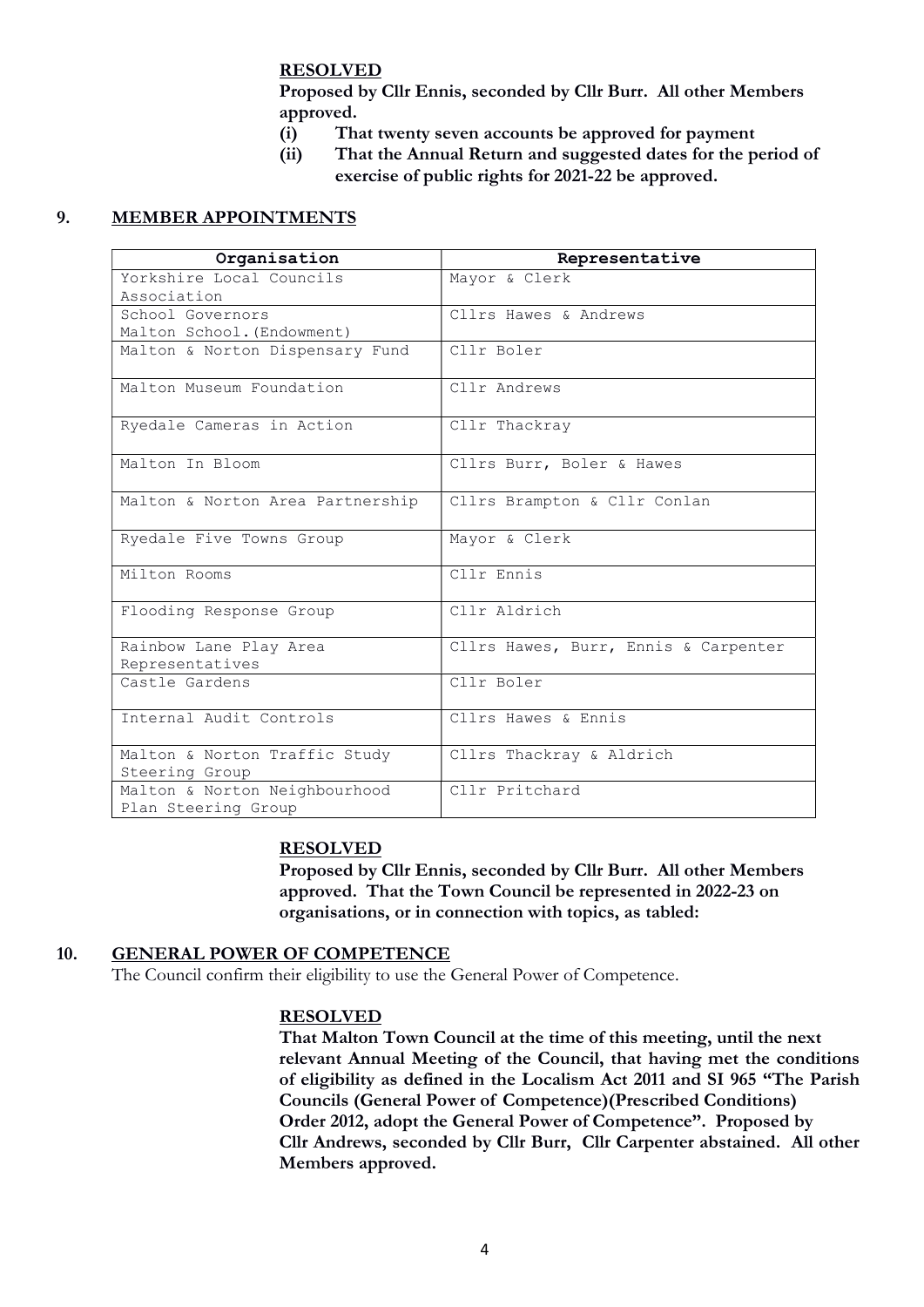RESOLVED

 Proposed by Cllr Ennis, seconded by Cllr Burr. All other Members approved.

- (i) That twenty seven accounts be approved for payment
- (ii) That the Annual Return and suggested dates for the period of exercise of public rights for 2021-22 be approved.

#### 9. MEMBER APPOINTMENTS

| Organisation                                         | Representative                       |
|------------------------------------------------------|--------------------------------------|
| Yorkshire Local Councils                             | Mayor & Clerk                        |
| Association                                          |                                      |
| School Governors                                     | Cllrs Hawes & Andrews                |
| Malton School. (Endowment)                           |                                      |
| Malton & Norton Dispensary Fund                      | Cllr Boler                           |
| Malton Museum Foundation                             | Cllr Andrews                         |
| Ryedale Cameras in Action                            | Cllr Thackray                        |
| Malton In Bloom                                      | Cllrs Burr, Boler & Hawes            |
| Malton & Norton Area Partnership                     | Cllrs Brampton & Cllr Conlan         |
| Ryedale Five Towns Group                             | Mayor & Clerk                        |
| Milton Rooms                                         | Cllr Ennis                           |
| Flooding Response Group                              | Cllr Aldrich                         |
| Rainbow Lane Play Area<br>Representatives            | Cllrs Hawes, Burr, Ennis & Carpenter |
| Castle Gardens                                       | Cllr Boler                           |
| Internal Audit Controls                              | Cllrs Hawes & Ennis                  |
| Malton & Norton Traffic Study<br>Steering Group      | Cllrs Thackray & Aldrich             |
| Malton & Norton Neighbourhood<br>Plan Steering Group | Cllr Pritchard                       |

#### RESOLVED

 Proposed by Cllr Ennis, seconded by Cllr Burr. All other Members approved. That the Town Council be represented in 2022-23 on organisations, or in connection with topics, as tabled:

## 10. GENERAL POWER OF COMPETENCE

The Council confirm their eligibility to use the General Power of Competence.

#### RESOLVED

 That Malton Town Council at the time of this meeting, until the next relevant Annual Meeting of the Council, that having met the conditions of eligibility as defined in the Localism Act 2011 and SI 965 "The Parish Councils (General Power of Competence)(Prescribed Conditions) Order 2012, adopt the General Power of Competence". Proposed by Cllr Andrews, seconded by Cllr Burr, Cllr Carpenter abstained. All other Members approved.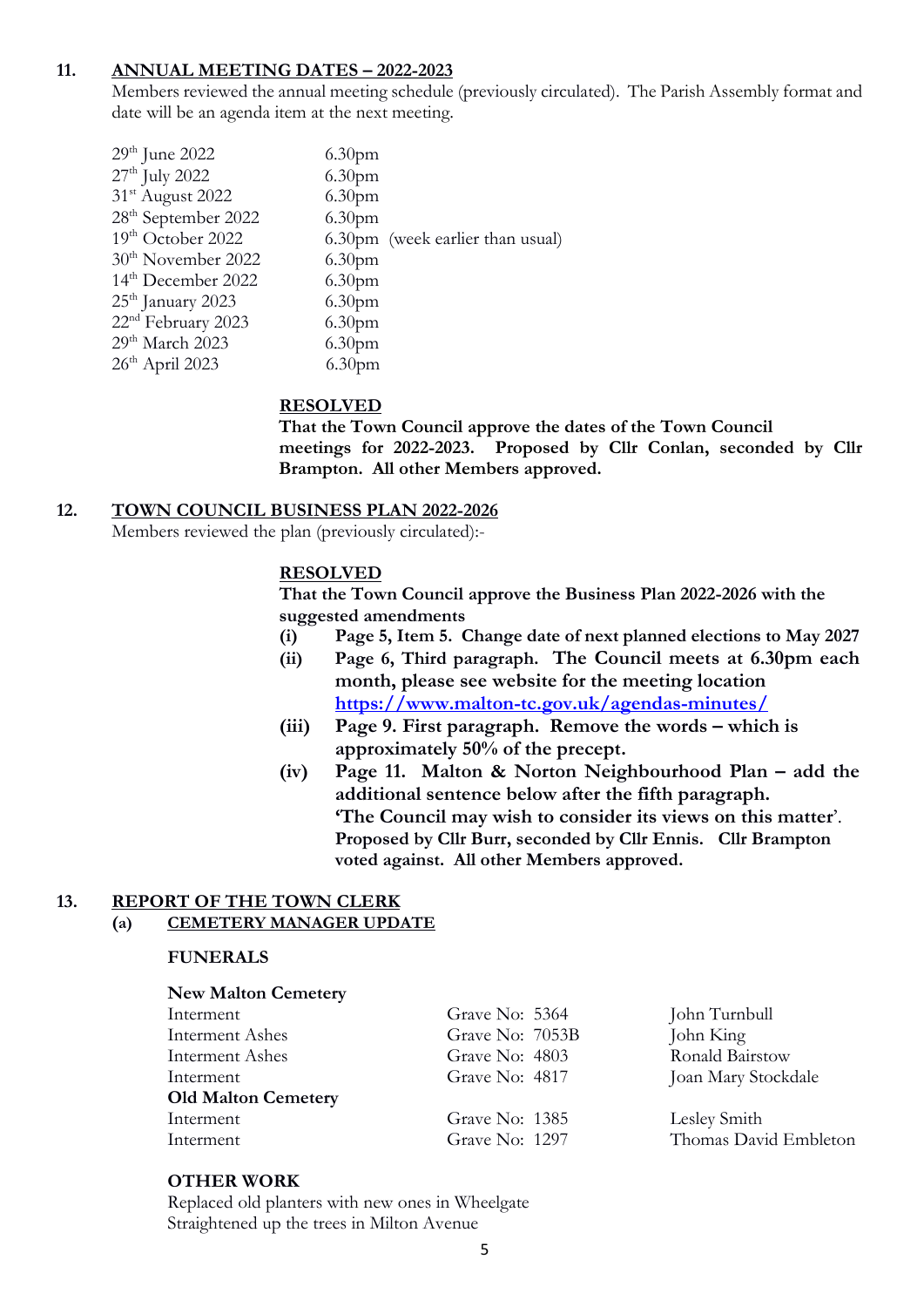# 11. ANNUAL MEETING DATES – 2022-2023

Members reviewed the annual meeting schedule (previously circulated). The Parish Assembly format and date will be an agenda item at the next meeting.

| 29 <sup>th</sup> June 2022      | 6.30 <sub>pm</sub>               |
|---------------------------------|----------------------------------|
| $27th$ July 2022                | 6.30 <sub>pm</sub>               |
| 31 <sup>st</sup> August 2022    | 6.30 <sub>pm</sub>               |
| 28 <sup>th</sup> September 2022 | 6.30 <sub>pm</sub>               |
| 19th October 2022               | 6.30pm (week earlier than usual) |
| 30 <sup>th</sup> November 2022  | 6.30 <sub>pm</sub>               |
| 14 <sup>th</sup> December 2022  | 6.30 <sub>pm</sub>               |
| $25th$ January 2023             | 6.30 <sub>pm</sub>               |
| 22 <sup>nd</sup> February 2023  | 6.30 <sub>pm</sub>               |
| 29 <sup>th</sup> March 2023     | 6.30 <sub>pm</sub>               |
| $26th$ April 2023               | 6.30 <sub>pm</sub>               |
|                                 |                                  |

# RESOLVED

That the Town Council approve the dates of the Town Council meetings for 2022-2023. Proposed by Cllr Conlan, seconded by Cllr Brampton. All other Members approved.

# 12. TOWN COUNCIL BUSINESS PLAN 2022-2026

Members reviewed the plan (previously circulated):-

## RESOLVED

 That the Town Council approve the Business Plan 2022-2026 with the suggested amendments

- (i) Page 5, Item 5. Change date of next planned elections to May 2027
- (ii) Page 6, Third paragraph. The Council meets at 6.30pm each month, please see website for the meeting location https://www.malton-tc.gov.uk/agendas-minutes/
- (iii) Page 9. First paragraph. Remove the words which is approximately 50% of the precept.
- (iv) Page 11. Malton & Norton Neighbourhood Plan add the additional sentence below after the fifth paragraph. 'The Council may wish to consider its views on this matter'. Proposed by Cllr Burr, seconded by Cllr Ennis. Cllr Brampton voted against. All other Members approved.

#### 13. REPORT OF THE TOWN CLERK (a) CEMETERY MANAGER UPDATE

#### FUNERALS

| <b>New Malton Cemetery</b> |                 |                       |
|----------------------------|-----------------|-----------------------|
| Interment                  | Grave No: 5364  | John Turnbull         |
| Interment Ashes            | Grave No: 7053B | John King             |
| Interment Ashes            | Grave No: 4803  | Ronald Bairstow       |
| Interment                  | Grave No: 4817  | Joan Mary Stockdale   |
| <b>Old Malton Cemetery</b> |                 |                       |
| Interment                  | Grave No: 1385  | Lesley Smith          |
| Interment                  | Grave No: 1297  | Thomas David Embleton |

### OTHER WORK

Replaced old planters with new ones in Wheelgate Straightened up the trees in Milton Avenue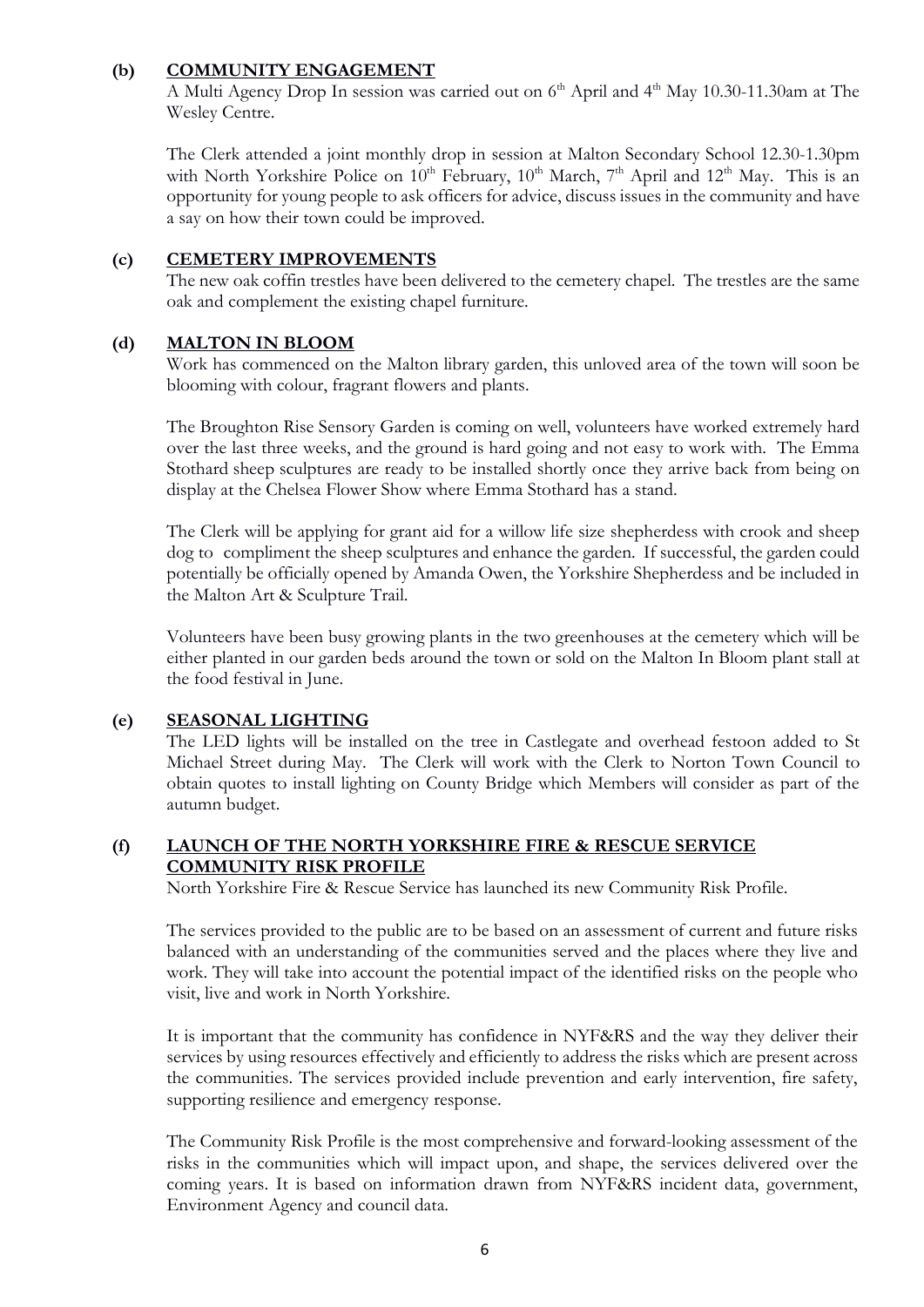# (b) COMMUNITY ENGAGEMENT

A Multi Agency Drop In session was carried out on 6<sup>th</sup> April and 4<sup>th</sup> May 10.30-11.30am at The Wesley Centre.

 The Clerk attended a joint monthly drop in session at Malton Secondary School 12.30-1.30pm with North Yorkshire Police on  $10^{th}$  February,  $10^{th}$  March,  $7^{th}$  April and  $12^{th}$  May. This is an opportunity for young people to ask officers for advice, discuss issues in the community and have a say on how their town could be improved.

# (c) CEMETERY IMPROVEMENTS

 The new oak coffin trestles have been delivered to the cemetery chapel. The trestles are the same oak and complement the existing chapel furniture.

# (d) MALTON IN BLOOM

 Work has commenced on the Malton library garden, this unloved area of the town will soon be blooming with colour, fragrant flowers and plants.

 The Broughton Rise Sensory Garden is coming on well, volunteers have worked extremely hard over the last three weeks, and the ground is hard going and not easy to work with. The Emma Stothard sheep sculptures are ready to be installed shortly once they arrive back from being on display at the Chelsea Flower Show where Emma Stothard has a stand.

 The Clerk will be applying for grant aid for a willow life size shepherdess with crook and sheep dog to compliment the sheep sculptures and enhance the garden. If successful, the garden could potentially be officially opened by Amanda Owen, the Yorkshire Shepherdess and be included in the Malton Art & Sculpture Trail.

 Volunteers have been busy growing plants in the two greenhouses at the cemetery which will be either planted in our garden beds around the town or sold on the Malton In Bloom plant stall at the food festival in June.

# (e) SEASONAL LIGHTING

 The LED lights will be installed on the tree in Castlegate and overhead festoon added to St Michael Street during May. The Clerk will work with the Clerk to Norton Town Council to obtain quotes to install lighting on County Bridge which Members will consider as part of the autumn budget.

# (f) LAUNCH OF THE NORTH YORKSHIRE FIRE & RESCUE SERVICE COMMUNITY RISK PROFILE

North Yorkshire Fire & Rescue Service has launched its new Community Risk Profile.

 The services provided to the public are to be based on an assessment of current and future risks balanced with an understanding of the communities served and the places where they live and work. They will take into account the potential impact of the identified risks on the people who visit, live and work in North Yorkshire.

 It is important that the community has confidence in NYF&RS and the way they deliver their services by using resources effectively and efficiently to address the risks which are present across the communities. The services provided include prevention and early intervention, fire safety, supporting resilience and emergency response.

 The Community Risk Profile is the most comprehensive and forward-looking assessment of the risks in the communities which will impact upon, and shape, the services delivered over the coming years. It is based on information drawn from NYF&RS incident data, government, Environment Agency and council data.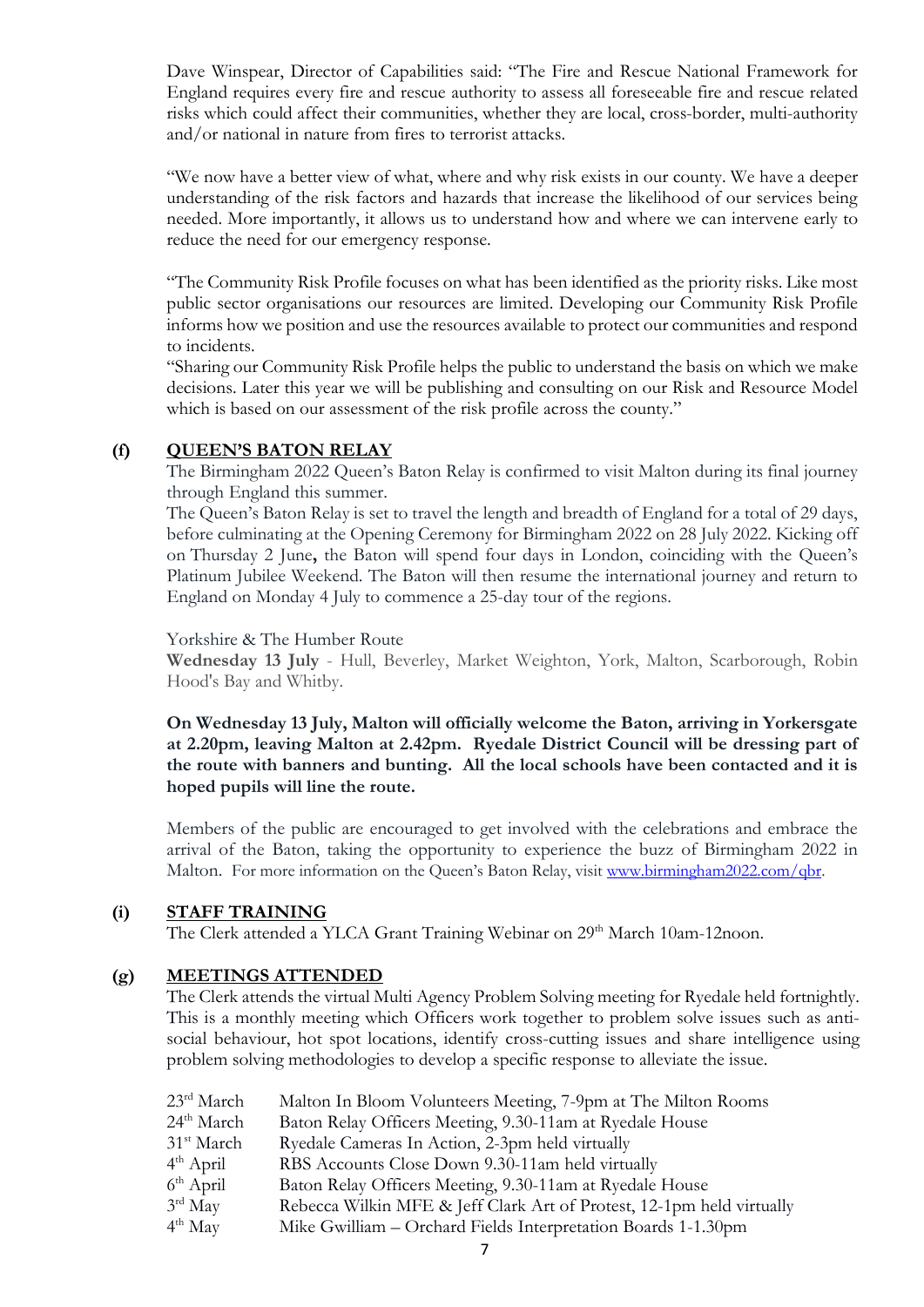Dave Winspear, Director of Capabilities said: "The Fire and Rescue National Framework for England requires every fire and rescue authority to assess all foreseeable fire and rescue related risks which could affect their communities, whether they are local, cross-border, multi-authority and/or national in nature from fires to terrorist attacks.

 "We now have a better view of what, where and why risk exists in our county. We have a deeper understanding of the risk factors and hazards that increase the likelihood of our services being needed. More importantly, it allows us to understand how and where we can intervene early to reduce the need for our emergency response.

 "The Community Risk Profile focuses on what has been identified as the priority risks. Like most public sector organisations our resources are limited. Developing our Community Risk Profile informs how we position and use the resources available to protect our communities and respond to incidents.

 "Sharing our Community Risk Profile helps the public to understand the basis on which we make decisions. Later this year we will be publishing and consulting on our Risk and Resource Model which is based on our assessment of the risk profile across the county."

# (f) QUEEN'S BATON RELAY

 The Birmingham 2022 Queen's Baton Relay is confirmed to visit Malton during its final journey through England this summer.

 The Queen's Baton Relay is set to travel the length and breadth of England for a total of 29 days, before culminating at the Opening Ceremony for Birmingham 2022 on 28 July 2022. Kicking off on Thursday 2 June, the Baton will spend four days in London, coinciding with the Queen's Platinum Jubilee Weekend. The Baton will then resume the international journey and return to England on Monday 4 July to commence a 25-day tour of the regions.

#### Yorkshire & The Humber Route

 Wednesday 13 July - Hull, Beverley, Market Weighton, York, Malton, Scarborough, Robin Hood's Bay and Whitby.

On Wednesday 13 July, Malton will officially welcome the Baton, arriving in Yorkersgate at 2.20pm, leaving Malton at 2.42pm. Ryedale District Council will be dressing part of the route with banners and bunting. All the local schools have been contacted and it is hoped pupils will line the route.

Members of the public are encouraged to get involved with the celebrations and embrace the arrival of the Baton, taking the opportunity to experience the buzz of Birmingham 2022 in Malton. For more information on the Queen's Baton Relay, visit www.birmingham2022.com/qbr.

## (i) STAFF TRAINING

The Clerk attended a YLCA Grant Training Webinar on 29<sup>th</sup> March 10am-12noon.

## (g) MEETINGS ATTENDED

The Clerk attends the virtual Multi Agency Problem Solving meeting for Ryedale held fortnightly. This is a monthly meeting which Officers work together to problem solve issues such as antisocial behaviour, hot spot locations, identify cross-cutting issues and share intelligence using problem solving methodologies to develop a specific response to alleviate the issue.

- 23<sup>rd</sup> March Malton In Bloom Volunteers Meeting, 7-9pm at The Milton Rooms
- 24<sup>th</sup> March Baton Relay Officers Meeting, 9.30-11am at Ryedale House
- 31<sup>st</sup> March Ryedale Cameras In Action, 2-3pm held virtually
- 4th April RBS Accounts Close Down 9.30-11am held virtually
- 6<sup>th</sup> April Baton Relay Officers Meeting, 9.30-11am at Ryedale House
- 3<sup>rd</sup> May Rebecca Wilkin MFE & Jeff Clark Art of Protest, 12-1pm held virtually
- 4th May Mike Gwilliam Orchard Fields Interpretation Boards 1-1.30pm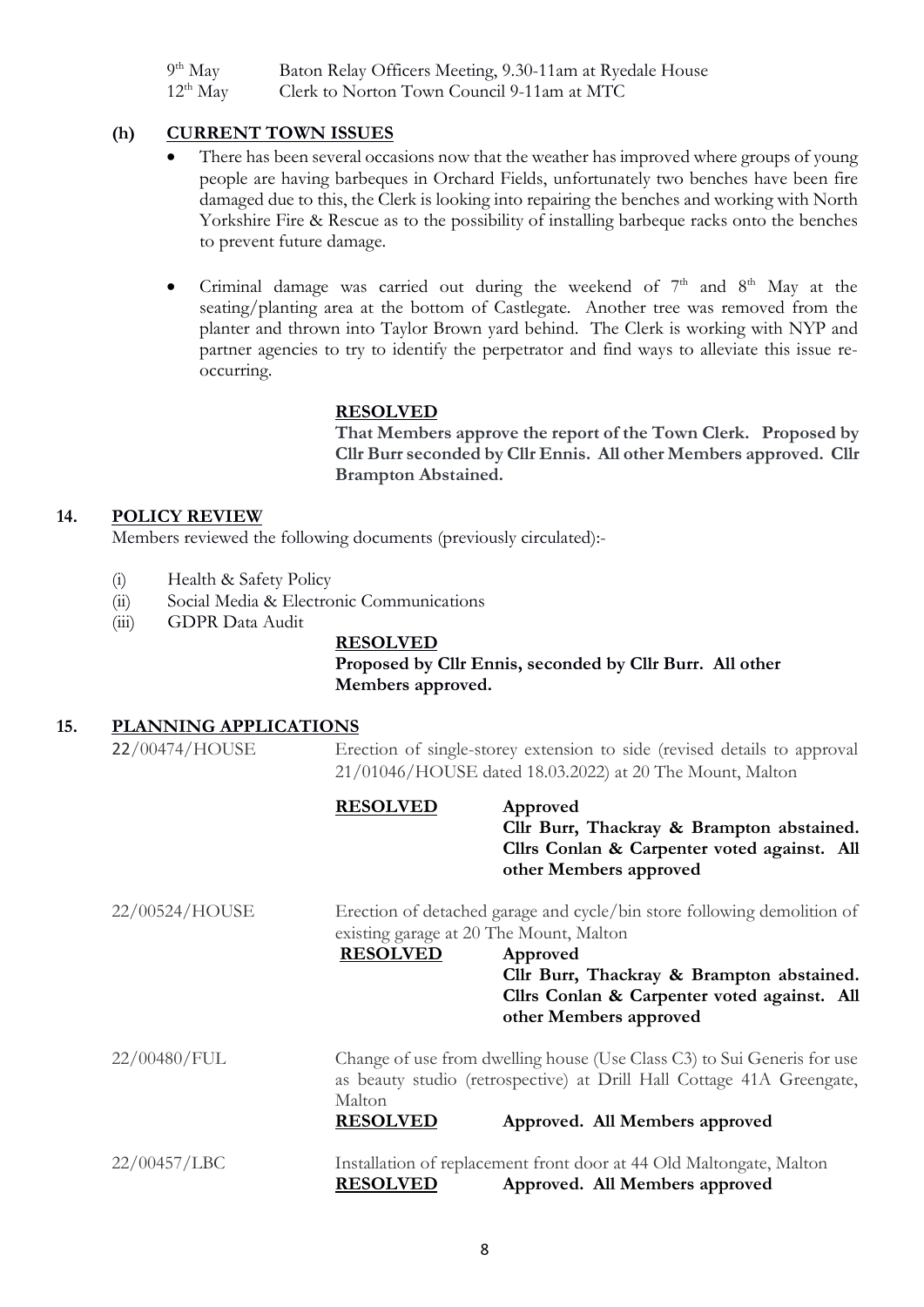| $9th$ May     | Baton Relay Officers Meeting, 9.30-11am at Ryedale House |
|---------------|----------------------------------------------------------|
| $12^{th}$ May | Clerk to Norton Town Council 9-11am at MTC               |

# (h) CURRENT TOWN ISSUES

- There has been several occasions now that the weather has improved where groups of young people are having barbeques in Orchard Fields, unfortunately two benches have been fire damaged due to this, the Clerk is looking into repairing the benches and working with North Yorkshire Fire & Rescue as to the possibility of installing barbeque racks onto the benches to prevent future damage.
- Criminal damage was carried out during the weekend of  $7<sup>th</sup>$  and  $8<sup>th</sup>$  May at the seating/planting area at the bottom of Castlegate. Another tree was removed from the planter and thrown into Taylor Brown yard behind. The Clerk is working with NYP and partner agencies to try to identify the perpetrator and find ways to alleviate this issue reoccurring.

#### RESOLVED

 That Members approve the report of the Town Clerk. Proposed by Cllr Burr seconded by Cllr Ennis. All other Members approved. Cllr Brampton Abstained.

### 14. POLICY REVIEW

Members reviewed the following documents (previously circulated):-

- (i) Health & Safety Policy
- (ii) Social Media & Electronic Communications
- (iii) GDPR Data Audit

#### RESOLVED

 Proposed by Cllr Ennis, seconded by Cllr Burr. All other Members approved.

#### 15. PLANNING APPLICATIONS

22/00474/HOUSE Erection of single-storey extension to side (revised details to approval 21/01046/HOUSE dated 18.03.2022) at 20 The Mount, Malton

|                | <b>RESOLVED</b>                                                                                                                                                                                                 | Approved<br>Cllr Burr, Thackray & Brampton abstained.<br>Cllrs Conlan & Carpenter voted against. All<br>other Members approved                                                                                                                       |
|----------------|-----------------------------------------------------------------------------------------------------------------------------------------------------------------------------------------------------------------|------------------------------------------------------------------------------------------------------------------------------------------------------------------------------------------------------------------------------------------------------|
| 22/00524/HOUSE | <b>RESOLVED</b>                                                                                                                                                                                                 | Erection of detached garage and cycle/bin store following demolition of<br>existing garage at 20 The Mount, Malton<br>Approved<br>Cllr Burr, Thackray & Brampton abstained.<br>Cllrs Conlan & Carpenter voted against. All<br>other Members approved |
| 22/00480/FUL   | Change of use from dwelling house (Use Class C3) to Sui Generis for use<br>as beauty studio (retrospective) at Drill Hall Cottage 41A Greengate,<br>Malton<br><b>RESOLVED</b><br>Approved. All Members approved |                                                                                                                                                                                                                                                      |
| 22/00457/LBC   |                                                                                                                                                                                                                 | Installation of replacement front door at 44 Old Maltongate, Malton                                                                                                                                                                                  |

RESOLVED Approved. All Members approved